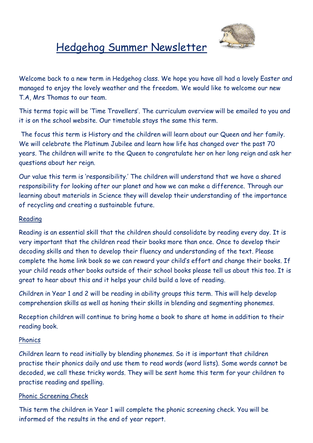

# Hedgehog Summer Newsletter

Welcome back to a new term in Hedgehog class. We hope you have all had a lovely Easter and managed to enjoy the lovely weather and the freedom. We would like to welcome our new T.A, Mrs Thomas to our team.

This terms topic will be 'Time Travellers'. The curriculum overview will be emailed to you and it is on the school website. Our timetable stays the same this term.

The focus this term is History and the children will learn about our Queen and her family. We will celebrate the Platinum Jubilee and learn how life has changed over the past 70 years. The children will write to the Queen to congratulate her on her long reign and ask her questions about her reign.

Our value this term is 'responsibility.' The children will understand that we have a shared responsibility for looking after our planet and how we can make a difference. Through our learning about materials in Science they will develop their understanding of the importance of recycling and creating a sustainable future.

### Reading

Reading is an essential skill that the children should consolidate by reading every day. It is very important that the children read their books more than once. Once to develop their decoding skills and then to develop their fluency and understanding of the text. Please complete the home link book so we can reward your child's effort and change their books. If your child reads other books outside of their school books please tell us about this too. It is great to hear about this and it helps your child build a love of reading.

Children in Year 1 and 2 will be reading in ability groups this term. This will help develop comprehension skills as well as honing their skills in blending and segmenting phonemes.

Reception children will continue to bring home a book to share at home in addition to their reading book.

# Phonics

Children learn to read initially by blending phonemes. So it is important that children practise their phonics daily and use them to read words (word lists). Some words cannot be decoded, we call these tricky words. They will be sent home this term for your children to practise reading and spelling.

#### Phonic Screening Check

This term the children in Year 1 will complete the phonic screening check. You will be informed of the results in the end of year report.